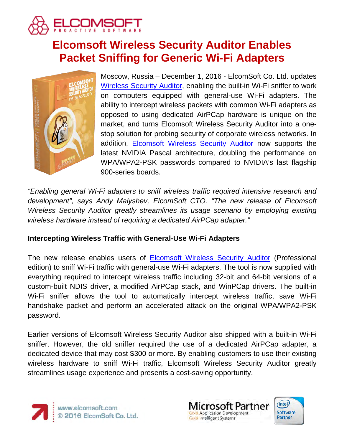

# **Elcomsoft Wireless Security Auditor Enables Packet Sniffing for Generic Wi-Fi Adapters**



Moscow, Russia – December 1, 2016 - ElcomSoft Co. Ltd. updates [Wireless Security Auditor,](https://www.elcomsoft.com/ewsa.html) enabling the built-in Wi-Fi sniffer to work on computers equipped with general-use Wi-Fi adapters. The ability to intercept wireless packets with common Wi-Fi adapters as opposed to using dedicated AirPCap hardware is unique on the market, and turns Elcomsoft Wireless Security Auditor into a onestop solution for probing security of corporate wireless networks. In addition, [Elcomsoft Wireless Security Auditor](https://www.elcomsoft.com/ewsa.html) now supports the latest NVIDIA Pascal architecture, doubling the performance on WPA/WPA2-PSK passwords compared to NVIDIA's last flagship 900-series boards.

*"Enabling general Wi-Fi adapters to sniff wireless traffic required intensive research and development", says Andy Malyshev, ElcomSoft CTO. "The new release of Elcomsoft Wireless Security Auditor greatly streamlines its usage scenario by employing existing wireless hardware instead of requiring a dedicated AirPCap adapter."*

## **Intercepting Wireless Traffic with General-Use Wi-Fi Adapters**

The new release enables users of [Elcomsoft Wireless Security Auditor](https://www.elcomsoft.com/ewsa.html) (Professional edition) to sniff Wi-Fi traffic with general-use Wi-Fi adapters. The tool is now supplied with everything required to intercept wireless traffic including 32-bit and 64-bit versions of a custom-built NDIS driver, a modified AirPCap stack, and WinPCap drivers. The built-in Wi-Fi sniffer allows the tool to automatically intercept wireless traffic, save Wi-Fi handshake packet and perform an accelerated attack on the original WPA/WPA2-PSK password.

Earlier versions of Elcomsoft Wireless Security Auditor also shipped with a built-in Wi-Fi sniffer. However, the old sniffer required the use of a dedicated AirPCap adapter, a dedicated device that may cost \$300 or more. By enabling customers to use their existing wireless hardware to sniff Wi-Fi traffic, Elcomsoft Wireless Security Auditor greatly streamlines usage experience and presents a cost-saving opportunity.